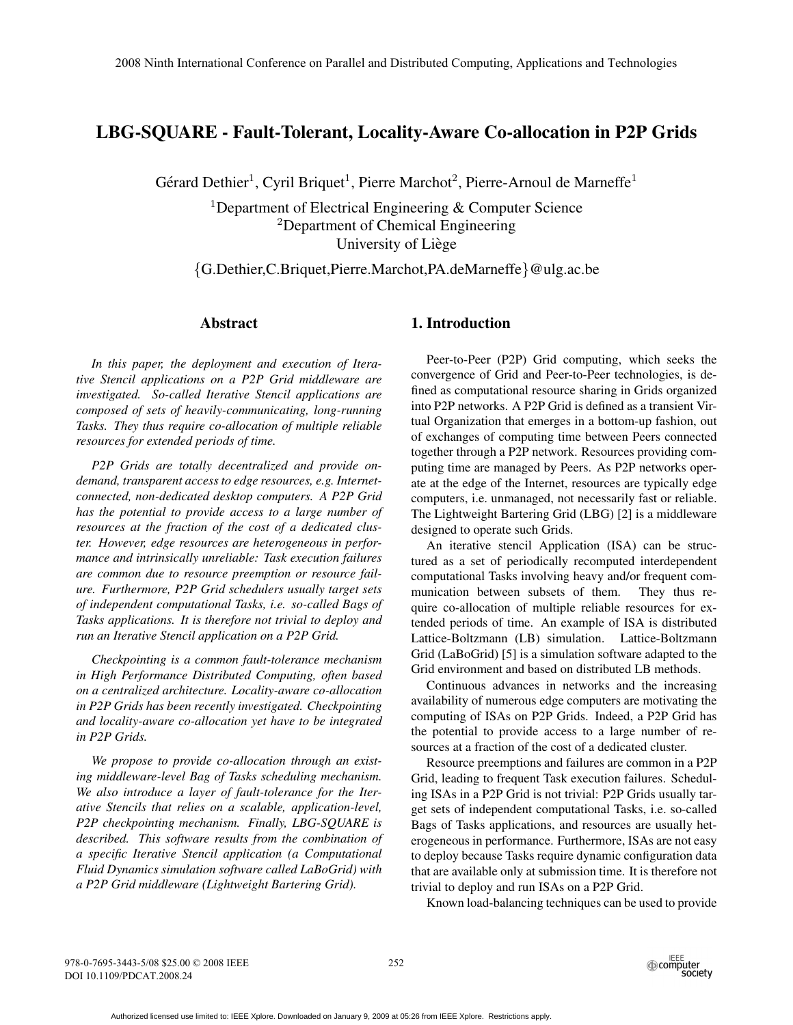# LBG-SQUARE - Fault-Tolerant, Locality-Aware Co-allocation in P2P Grids

Gérard Dethier<sup>1</sup>, Cyril Briquet<sup>1</sup>, Pierre Marchot<sup>2</sup>, Pierre-Arnoul de Marneffe<sup>1</sup>

<sup>1</sup>Department of Electrical Engineering & Computer Science <sup>2</sup>Department of Chemical Engineering University of Liège

{G.Dethier,C.Briquet,Pierre.Marchot,PA.deMarneffe}@ulg.ac.be

### Abstract

*In this paper, the deployment and execution of Iterative Stencil applications on a P2P Grid middleware are investigated. So-called Iterative Stencil applications are composed of sets of heavily-communicating, long-running Tasks. They thus require co-allocation of multiple reliable resources for extended periods of time.*

*P2P Grids are totally decentralized and provide ondemand, transparent access to edge resources, e.g. Internetconnected, non-dedicated desktop computers. A P2P Grid has the potential to provide access to a large number of resources at the fraction of the cost of a dedicated cluster. However, edge resources are heterogeneous in performance and intrinsically unreliable: Task execution failures are common due to resource preemption or resource failure. Furthermore, P2P Grid schedulers usually target sets of independent computational Tasks, i.e. so-called Bags of Tasks applications. It is therefore not trivial to deploy and run an Iterative Stencil application on a P2P Grid.*

*Checkpointing is a common fault-tolerance mechanism in High Performance Distributed Computing, often based on a centralized architecture. Locality-aware co-allocation in P2P Grids has been recently investigated. Checkpointing and locality-aware co-allocation yet have to be integrated in P2P Grids.*

*We propose to provide co-allocation through an existing middleware-level Bag of Tasks scheduling mechanism. We also introduce a layer of fault-tolerance for the Iterative Stencils that relies on a scalable, application-level, P2P checkpointing mechanism. Finally, LBG-SQUARE is described. This software results from the combination of a specific Iterative Stencil application (a Computational Fluid Dynamics simulation software called LaBoGrid) with a P2P Grid middleware (Lightweight Bartering Grid).*

# 1. Introduction

Peer-to-Peer (P2P) Grid computing, which seeks the convergence of Grid and Peer-to-Peer technologies, is defined as computational resource sharing in Grids organized into P2P networks. A P2P Grid is defined as a transient Virtual Organization that emerges in a bottom-up fashion, out of exchanges of computing time between Peers connected together through a P2P network. Resources providing computing time are managed by Peers. As P2P networks operate at the edge of the Internet, resources are typically edge computers, i.e. unmanaged, not necessarily fast or reliable. The Lightweight Bartering Grid (LBG) [2] is a middleware designed to operate such Grids.

An iterative stencil Application (ISA) can be structured as a set of periodically recomputed interdependent computational Tasks involving heavy and/or frequent communication between subsets of them. They thus require co-allocation of multiple reliable resources for extended periods of time. An example of ISA is distributed Lattice-Boltzmann (LB) simulation. Lattice-Boltzmann Grid (LaBoGrid) [5] is a simulation software adapted to the Grid environment and based on distributed LB methods.

Continuous advances in networks and the increasing availability of numerous edge computers are motivating the computing of ISAs on P2P Grids. Indeed, a P2P Grid has the potential to provide access to a large number of resources at a fraction of the cost of a dedicated cluster.

Resource preemptions and failures are common in a P2P Grid, leading to frequent Task execution failures. Scheduling ISAs in a P2P Grid is not trivial: P2P Grids usually target sets of independent computational Tasks, i.e. so-called Bags of Tasks applications, and resources are usually heterogeneous in performance. Furthermore, ISAs are not easy to deploy because Tasks require dynamic configuration data that are available only at submission time. It is therefore not trivial to deploy and run ISAs on a P2P Grid.

Known load-balancing techniques can be used to provide

978-0-7695-3443-5/08 \$25.00 © 2008 IEEE DOI 10.1109/PDCAT.2008.24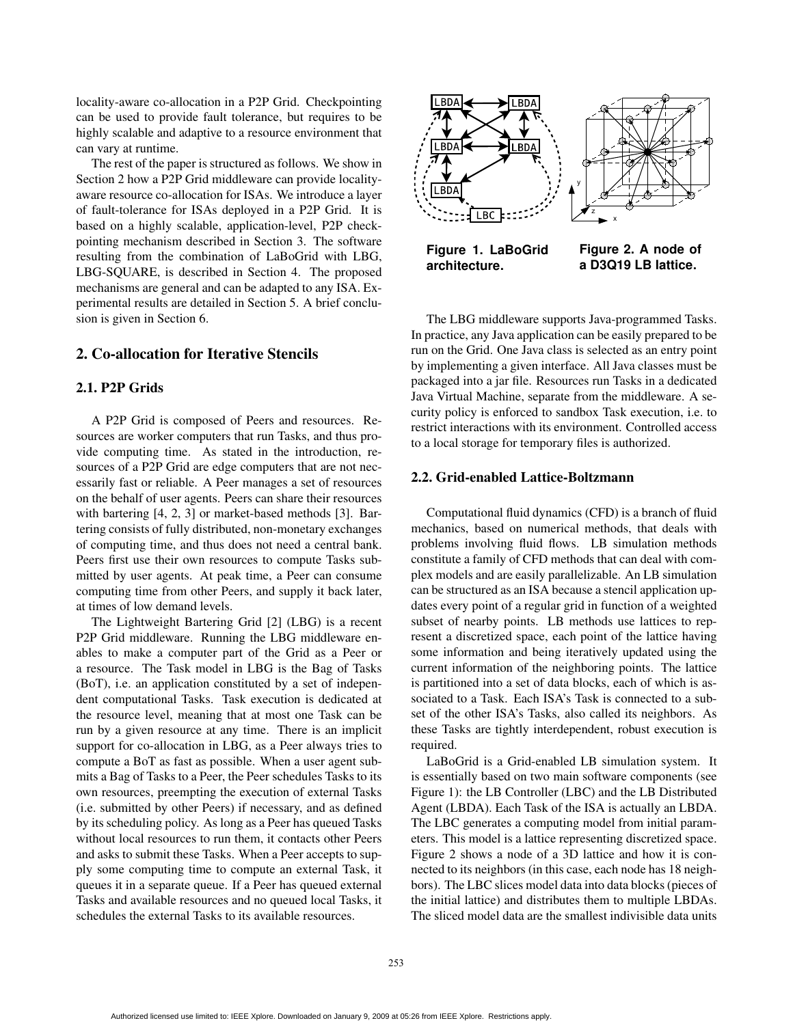locality-aware co-allocation in a P2P Grid. Checkpointing can be used to provide fault tolerance, but requires to be highly scalable and adaptive to a resource environment that can vary at runtime.

The rest of the paper is structured as follows. We show in Section 2 how a P2P Grid middleware can provide localityaware resource co-allocation for ISAs. We introduce a layer of fault-tolerance for ISAs deployed in a P2P Grid. It is based on a highly scalable, application-level, P2P checkpointing mechanism described in Section 3. The software resulting from the combination of LaBoGrid with LBG, LBG-SQUARE, is described in Section 4. The proposed mechanisms are general and can be adapted to any ISA. Experimental results are detailed in Section 5. A brief conclusion is given in Section 6.

### 2. Co-allocation for Iterative Stencils

### 2.1. P2P Grids

A P2P Grid is composed of Peers and resources. Resources are worker computers that run Tasks, and thus provide computing time. As stated in the introduction, resources of a P2P Grid are edge computers that are not necessarily fast or reliable. A Peer manages a set of resources on the behalf of user agents. Peers can share their resources with bartering [4, 2, 3] or market-based methods [3]. Bartering consists of fully distributed, non-monetary exchanges of computing time, and thus does not need a central bank. Peers first use their own resources to compute Tasks submitted by user agents. At peak time, a Peer can consume computing time from other Peers, and supply it back later, at times of low demand levels.

The Lightweight Bartering Grid [2] (LBG) is a recent P2P Grid middleware. Running the LBG middleware enables to make a computer part of the Grid as a Peer or a resource. The Task model in LBG is the Bag of Tasks (BoT), i.e. an application constituted by a set of independent computational Tasks. Task execution is dedicated at the resource level, meaning that at most one Task can be run by a given resource at any time. There is an implicit support for co-allocation in LBG, as a Peer always tries to compute a BoT as fast as possible. When a user agent submits a Bag of Tasks to a Peer, the Peer schedules Tasks to its own resources, preempting the execution of external Tasks (i.e. submitted by other Peers) if necessary, and as defined by its scheduling policy. As long as a Peer has queued Tasks without local resources to run them, it contacts other Peers and asks to submit these Tasks. When a Peer accepts to supply some computing time to compute an external Task, it queues it in a separate queue. If a Peer has queued external Tasks and available resources and no queued local Tasks, it schedules the external Tasks to its available resources.



The LBG middleware supports Java-programmed Tasks. In practice, any Java application can be easily prepared to be run on the Grid. One Java class is selected as an entry point by implementing a given interface. All Java classes must be packaged into a jar file. Resources run Tasks in a dedicated Java Virtual Machine, separate from the middleware. A security policy is enforced to sandbox Task execution, i.e. to restrict interactions with its environment. Controlled access to a local storage for temporary files is authorized.

### 2.2. Grid-enabled Lattice-Boltzmann

Computational fluid dynamics (CFD) is a branch of fluid mechanics, based on numerical methods, that deals with problems involving fluid flows. LB simulation methods constitute a family of CFD methods that can deal with complex models and are easily parallelizable. An LB simulation can be structured as an ISA because a stencil application updates every point of a regular grid in function of a weighted subset of nearby points. LB methods use lattices to represent a discretized space, each point of the lattice having some information and being iteratively updated using the current information of the neighboring points. The lattice is partitioned into a set of data blocks, each of which is associated to a Task. Each ISA's Task is connected to a subset of the other ISA's Tasks, also called its neighbors. As these Tasks are tightly interdependent, robust execution is required.

LaBoGrid is a Grid-enabled LB simulation system. It is essentially based on two main software components (see Figure 1): the LB Controller (LBC) and the LB Distributed Agent (LBDA). Each Task of the ISA is actually an LBDA. The LBC generates a computing model from initial parameters. This model is a lattice representing discretized space. Figure 2 shows a node of a 3D lattice and how it is connected to its neighbors (in this case, each node has 18 neighbors). The LBC slices model data into data blocks (pieces of the initial lattice) and distributes them to multiple LBDAs. The sliced model data are the smallest indivisible data units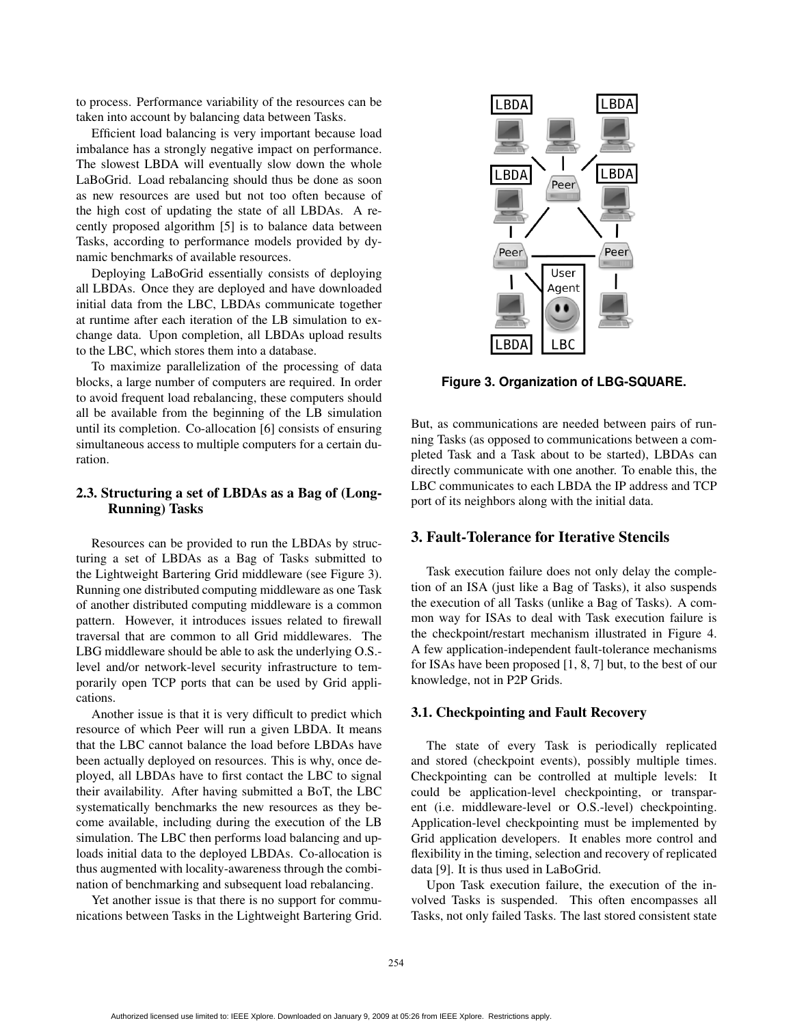to process. Performance variability of the resources can be taken into account by balancing data between Tasks.

Efficient load balancing is very important because load imbalance has a strongly negative impact on performance. The slowest LBDA will eventually slow down the whole LaBoGrid. Load rebalancing should thus be done as soon as new resources are used but not too often because of the high cost of updating the state of all LBDAs. A recently proposed algorithm [5] is to balance data between Tasks, according to performance models provided by dynamic benchmarks of available resources.

Deploying LaBoGrid essentially consists of deploying all LBDAs. Once they are deployed and have downloaded initial data from the LBC, LBDAs communicate together at runtime after each iteration of the LB simulation to exchange data. Upon completion, all LBDAs upload results to the LBC, which stores them into a database.

To maximize parallelization of the processing of data blocks, a large number of computers are required. In order to avoid frequent load rebalancing, these computers should all be available from the beginning of the LB simulation until its completion. Co-allocation [6] consists of ensuring simultaneous access to multiple computers for a certain duration.

# 2.3. Structuring a set of LBDAs as a Bag of (Long-Running) Tasks

Resources can be provided to run the LBDAs by structuring a set of LBDAs as a Bag of Tasks submitted to the Lightweight Bartering Grid middleware (see Figure 3). Running one distributed computing middleware as one Task of another distributed computing middleware is a common pattern. However, it introduces issues related to firewall traversal that are common to all Grid middlewares. The LBG middleware should be able to ask the underlying O.S. level and/or network-level security infrastructure to temporarily open TCP ports that can be used by Grid applications.

Another issue is that it is very difficult to predict which resource of which Peer will run a given LBDA. It means that the LBC cannot balance the load before LBDAs have been actually deployed on resources. This is why, once deployed, all LBDAs have to first contact the LBC to signal their availability. After having submitted a BoT, the LBC systematically benchmarks the new resources as they become available, including during the execution of the LB simulation. The LBC then performs load balancing and uploads initial data to the deployed LBDAs. Co-allocation is thus augmented with locality-awareness through the combination of benchmarking and subsequent load rebalancing.

Yet another issue is that there is no support for communications between Tasks in the Lightweight Bartering Grid.



**Figure 3. Organization of LBG-SQUARE.**

But, as communications are needed between pairs of running Tasks (as opposed to communications between a completed Task and a Task about to be started), LBDAs can directly communicate with one another. To enable this, the LBC communicates to each LBDA the IP address and TCP port of its neighbors along with the initial data.

### 3. Fault-Tolerance for Iterative Stencils

Task execution failure does not only delay the completion of an ISA (just like a Bag of Tasks), it also suspends the execution of all Tasks (unlike a Bag of Tasks). A common way for ISAs to deal with Task execution failure is the checkpoint/restart mechanism illustrated in Figure 4. A few application-independent fault-tolerance mechanisms for ISAs have been proposed [1, 8, 7] but, to the best of our knowledge, not in P2P Grids.

#### 3.1. Checkpointing and Fault Recovery

The state of every Task is periodically replicated and stored (checkpoint events), possibly multiple times. Checkpointing can be controlled at multiple levels: It could be application-level checkpointing, or transparent (i.e. middleware-level or O.S.-level) checkpointing. Application-level checkpointing must be implemented by Grid application developers. It enables more control and flexibility in the timing, selection and recovery of replicated data [9]. It is thus used in LaBoGrid.

Upon Task execution failure, the execution of the involved Tasks is suspended. This often encompasses all Tasks, not only failed Tasks. The last stored consistent state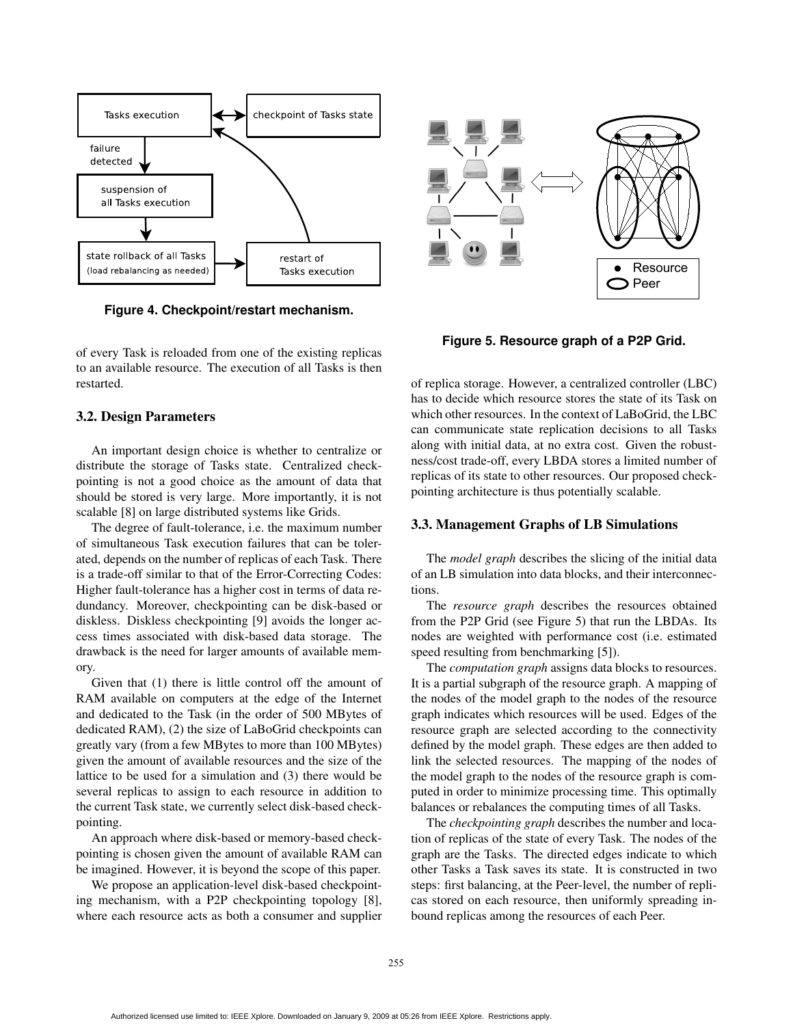

**Figure 4. Checkpoint/restart mechanism.**

of every Task is reloaded from one of the existing replicas to an available resource. The execution of all Tasks is then restarted.

#### 3.2. Design Parameters

An important design choice is whether to centralize or distribute the storage of Tasks state. Centralized checkpointing is not a good choice as the amount of data that should be stored is very large. More importantly, it is not scalable [8] on large distributed systems like Grids.

The degree of fault-tolerance, i.e. the maximum number of simultaneous Task execution failures that can be tolerated, depends on the number of replicas of each Task. There is a trade-off similar to that of the Error-Correcting Codes: Higher fault-tolerance has a higher cost in terms of data redundancy. Moreover, checkpointing can be disk-based or diskless. Diskless checkpointing [9] avoids the longer access times associated with disk-based data storage. The drawback is the need for larger amounts of available memory.

Given that (1) there is little control off the amount of RAM available on computers at the edge of the Internet and dedicated to the Task (in the order of 500 MBytes of dedicated RAM), (2) the size of LaBoGrid checkpoints can greatly vary (from a few MBytes to more than 100 MBytes) given the amount of available resources and the size of the lattice to be used for a simulation and (3) there would be several replicas to assign to each resource in addition to the current Task state, we currently select disk-based checkpointing.

An approach where disk-based or memory-based checkpointing is chosen given the amount of available RAM can be imagined. However, it is beyond the scope of this paper.

We propose an application-level disk-based checkpointing mechanism, with a P2P checkpointing topology [8], where each resource acts as both a consumer and supplier



**Figure 5. Resource graph of a P2P Grid.**

of replica storage. However, a centralized controller (LBC) has to decide which resource stores the state of its Task on which other resources. In the context of LaBoGrid, the LBC can communicate state replication decisions to all Tasks along with initial data, at no extra cost. Given the robustness/cost trade-off, every LBDA stores a limited number of replicas of its state to other resources. Our proposed checkpointing architecture is thus potentially scalable.

#### 3.3. Management Graphs of LB Simulations

The *model graph* describes the slicing of the initial data of an LB simulation into data blocks, and their interconnections.

The *resource graph* describes the resources obtained from the P2P Grid (see Figure 5) that run the LBDAs. Its nodes are weighted with performance cost (i.e. estimated speed resulting from benchmarking [5]).

The *computation graph* assigns data blocks to resources. It is a partial subgraph of the resource graph. A mapping of the nodes of the model graph to the nodes of the resource graph indicates which resources will be used. Edges of the resource graph are selected according to the connectivity defined by the model graph. These edges are then added to link the selected resources. The mapping of the nodes of the model graph to the nodes of the resource graph is computed in order to minimize processing time. This optimally balances or rebalances the computing times of all Tasks.

The *checkpointing graph* describes the number and location of replicas of the state of every Task. The nodes of the graph are the Tasks. The directed edges indicate to which other Tasks a Task saves its state. It is constructed in two steps: first balancing, at the Peer-level, the number of replicas stored on each resource, then uniformly spreading inbound replicas among the resources of each Peer.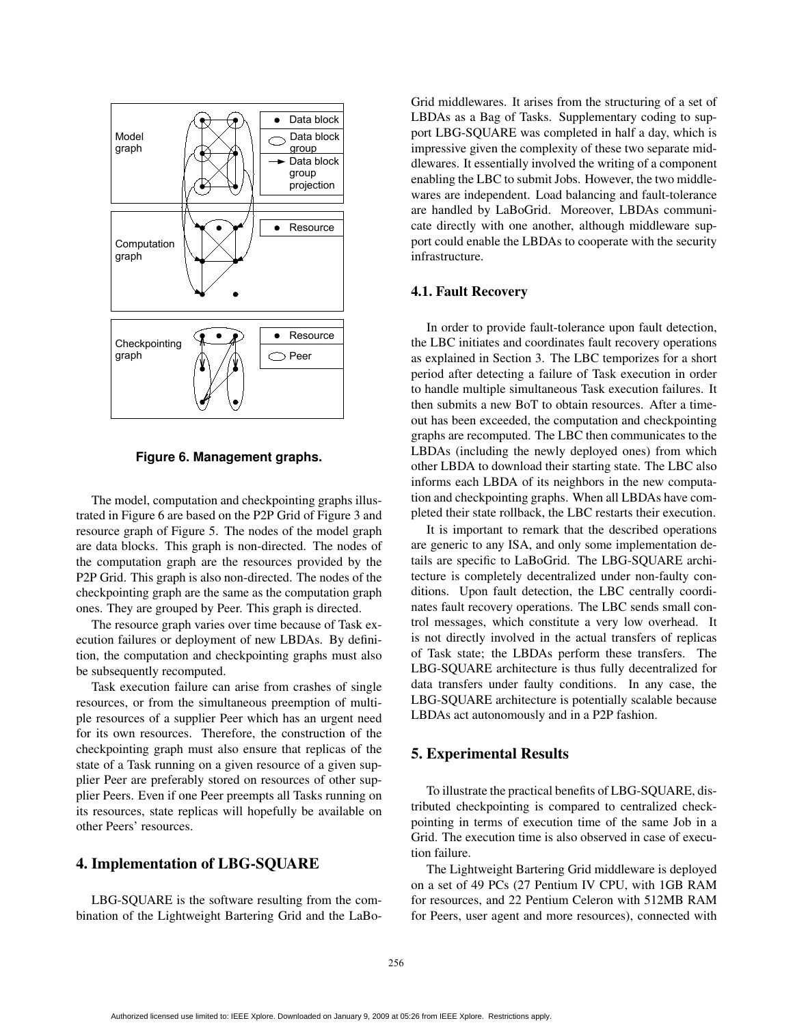

**Figure 6. Management graphs.**

The model, computation and checkpointing graphs illustrated in Figure 6 are based on the P2P Grid of Figure 3 and resource graph of Figure 5. The nodes of the model graph are data blocks. This graph is non-directed. The nodes of the computation graph are the resources provided by the P2P Grid. This graph is also non-directed. The nodes of the checkpointing graph are the same as the computation graph ones. They are grouped by Peer. This graph is directed.

The resource graph varies over time because of Task execution failures or deployment of new LBDAs. By definition, the computation and checkpointing graphs must also be subsequently recomputed.

Task execution failure can arise from crashes of single resources, or from the simultaneous preemption of multiple resources of a supplier Peer which has an urgent need for its own resources. Therefore, the construction of the checkpointing graph must also ensure that replicas of the state of a Task running on a given resource of a given supplier Peer are preferably stored on resources of other supplier Peers. Even if one Peer preempts all Tasks running on its resources, state replicas will hopefully be available on other Peers' resources.

# 4. Implementation of LBG-SQUARE

LBG-SQUARE is the software resulting from the combination of the Lightweight Bartering Grid and the LaBo-

Grid middlewares. It arises from the structuring of a set of LBDAs as a Bag of Tasks. Supplementary coding to support LBG-SQUARE was completed in half a day, which is impressive given the complexity of these two separate middlewares. It essentially involved the writing of a component enabling the LBC to submit Jobs. However, the two middlewares are independent. Load balancing and fault-tolerance are handled by LaBoGrid. Moreover, LBDAs communicate directly with one another, although middleware support could enable the LBDAs to cooperate with the security infrastructure.

### 4.1. Fault Recovery

In order to provide fault-tolerance upon fault detection, the LBC initiates and coordinates fault recovery operations as explained in Section 3. The LBC temporizes for a short period after detecting a failure of Task execution in order to handle multiple simultaneous Task execution failures. It then submits a new BoT to obtain resources. After a timeout has been exceeded, the computation and checkpointing graphs are recomputed. The LBC then communicates to the LBDAs (including the newly deployed ones) from which other LBDA to download their starting state. The LBC also informs each LBDA of its neighbors in the new computation and checkpointing graphs. When all LBDAs have completed their state rollback, the LBC restarts their execution.

It is important to remark that the described operations are generic to any ISA, and only some implementation details are specific to LaBoGrid. The LBG-SQUARE architecture is completely decentralized under non-faulty conditions. Upon fault detection, the LBC centrally coordinates fault recovery operations. The LBC sends small control messages, which constitute a very low overhead. It is not directly involved in the actual transfers of replicas of Task state; the LBDAs perform these transfers. The LBG-SQUARE architecture is thus fully decentralized for data transfers under faulty conditions. In any case, the LBG-SQUARE architecture is potentially scalable because LBDAs act autonomously and in a P2P fashion.

# 5. Experimental Results

To illustrate the practical benefits of LBG-SQUARE, distributed checkpointing is compared to centralized checkpointing in terms of execution time of the same Job in a Grid. The execution time is also observed in case of execution failure.

The Lightweight Bartering Grid middleware is deployed on a set of 49 PCs (27 Pentium IV CPU, with 1GB RAM for resources, and 22 Pentium Celeron with 512MB RAM for Peers, user agent and more resources), connected with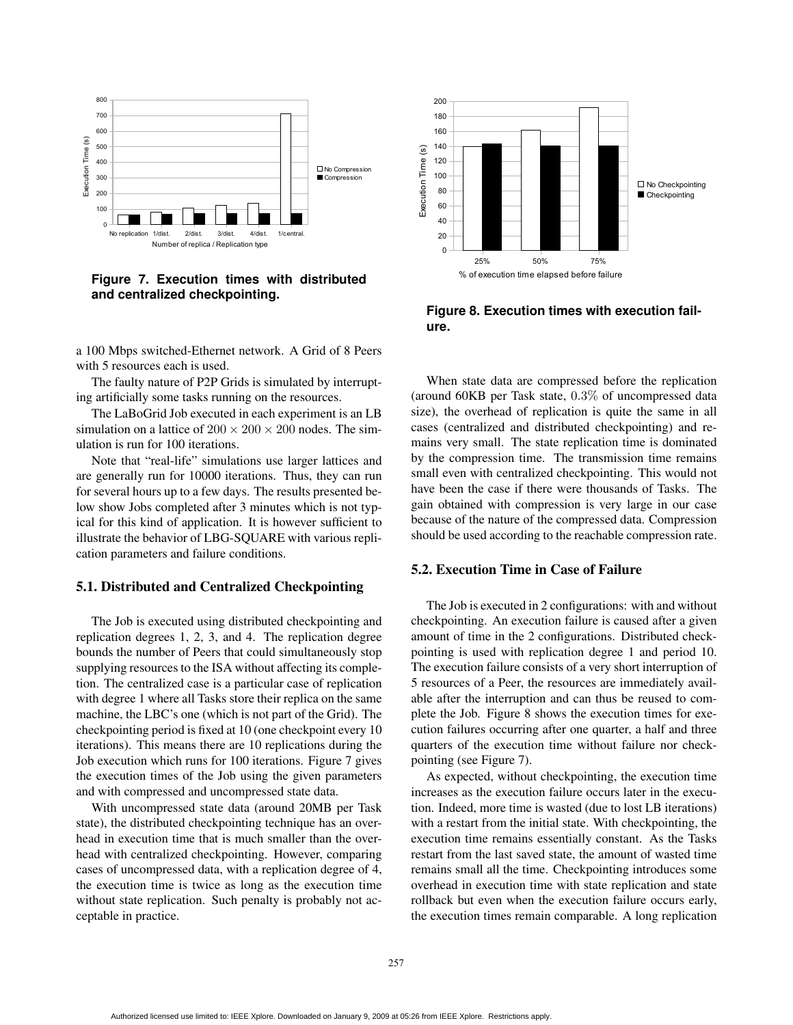

**Figure 7. Execution times with distributed and centralized checkpointing.**

a 100 Mbps switched-Ethernet network. A Grid of 8 Peers with 5 resources each is used.

The faulty nature of P2P Grids is simulated by interrupting artificially some tasks running on the resources.

The LaBoGrid Job executed in each experiment is an LB simulation on a lattice of  $200 \times 200 \times 200$  nodes. The simulation is run for 100 iterations.

Note that "real-life" simulations use larger lattices and are generally run for 10000 iterations. Thus, they can run for several hours up to a few days. The results presented below show Jobs completed after 3 minutes which is not typical for this kind of application. It is however sufficient to illustrate the behavior of LBG-SQUARE with various replication parameters and failure conditions.

#### 5.1. Distributed and Centralized Checkpointing

The Job is executed using distributed checkpointing and replication degrees 1, 2, 3, and 4. The replication degree bounds the number of Peers that could simultaneously stop supplying resources to the ISA without affecting its completion. The centralized case is a particular case of replication with degree 1 where all Tasks store their replica on the same machine, the LBC's one (which is not part of the Grid). The checkpointing period is fixed at 10 (one checkpoint every 10 iterations). This means there are 10 replications during the Job execution which runs for 100 iterations. Figure 7 gives the execution times of the Job using the given parameters and with compressed and uncompressed state data.

With uncompressed state data (around 20MB per Task state), the distributed checkpointing technique has an overhead in execution time that is much smaller than the overhead with centralized checkpointing. However, comparing cases of uncompressed data, with a replication degree of 4, the execution time is twice as long as the execution time without state replication. Such penalty is probably not acceptable in practice.



**Figure 8. Execution times with execution failure.**

When state data are compressed before the replication (around 60KB per Task state, 0.3% of uncompressed data size), the overhead of replication is quite the same in all cases (centralized and distributed checkpointing) and remains very small. The state replication time is dominated by the compression time. The transmission time remains small even with centralized checkpointing. This would not have been the case if there were thousands of Tasks. The gain obtained with compression is very large in our case because of the nature of the compressed data. Compression should be used according to the reachable compression rate.

### 5.2. Execution Time in Case of Failure

The Job is executed in 2 configurations: with and without checkpointing. An execution failure is caused after a given amount of time in the 2 configurations. Distributed checkpointing is used with replication degree 1 and period 10. The execution failure consists of a very short interruption of 5 resources of a Peer, the resources are immediately available after the interruption and can thus be reused to complete the Job. Figure 8 shows the execution times for execution failures occurring after one quarter, a half and three quarters of the execution time without failure nor checkpointing (see Figure 7).

As expected, without checkpointing, the execution time increases as the execution failure occurs later in the execution. Indeed, more time is wasted (due to lost LB iterations) with a restart from the initial state. With checkpointing, the execution time remains essentially constant. As the Tasks restart from the last saved state, the amount of wasted time remains small all the time. Checkpointing introduces some overhead in execution time with state replication and state rollback but even when the execution failure occurs early, the execution times remain comparable. A long replication